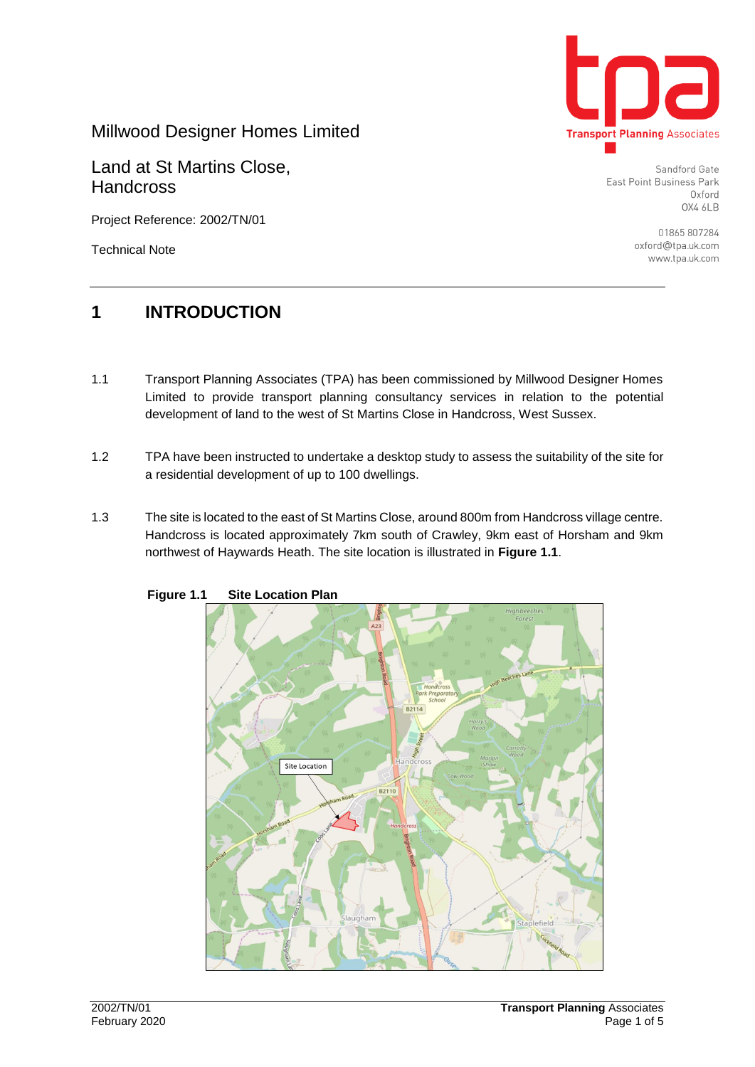

Millwood Designer Homes Limited

Land at St Martins Close, **Handcross** 

Project Reference: 2002/TN/01

Technical Note

Sandford Gate East Point Business Park Oxford OX4 6LB

> 01865 807284 oxford@tpa.uk.com www.tpa.uk.com

# **1 INTRODUCTION**

- 1.1 Transport Planning Associates (TPA) has been commissioned by Millwood Designer Homes Limited to provide transport planning consultancy services in relation to the potential development of land to the west of St Martins Close in Handcross, West Sussex.
- 1.2 TPA have been instructed to undertake a desktop study to assess the suitability of the site for a residential development of up to 100 dwellings.
- 1.3 The site is located to the east of St Martins Close, around 800m from Handcross village centre. Handcross is located approximately 7km south of Crawley, 9km east of Horsham and 9km northwest of Haywards Heath. The site location is illustrated in **Figure 1.1**.



 **Figure 1.1 Site Location Plan**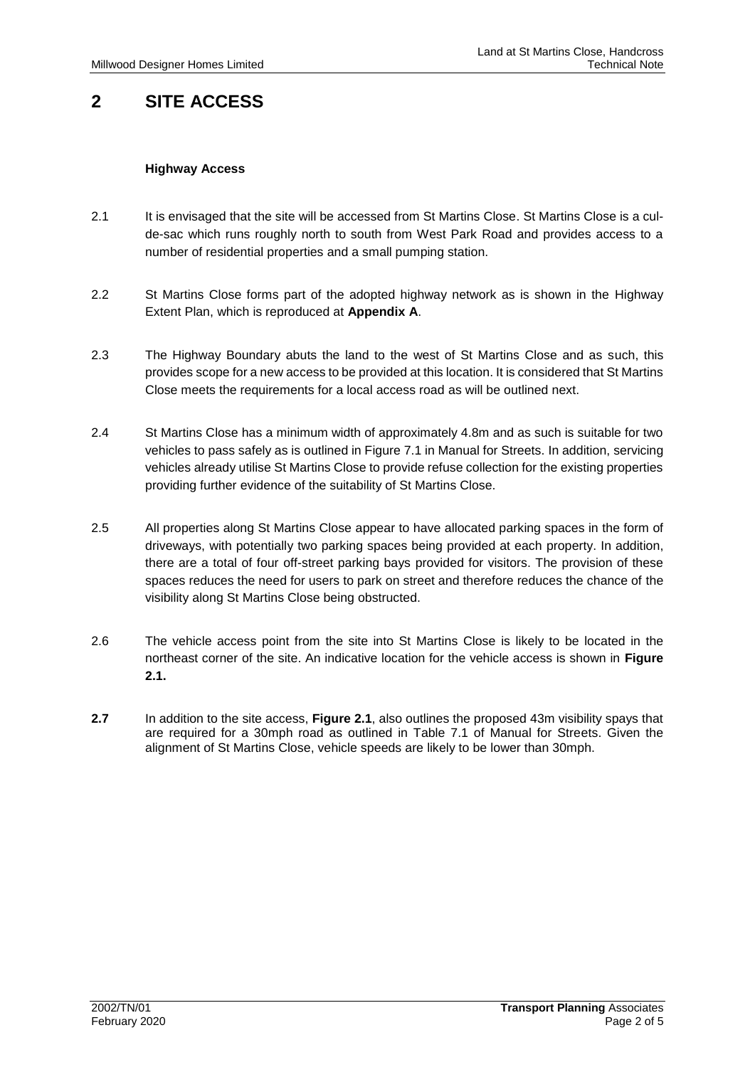# **2 SITE ACCESS**

#### **Highway Access**

- 2.1 It is envisaged that the site will be accessed from St Martins Close. St Martins Close is a culde-sac which runs roughly north to south from West Park Road and provides access to a number of residential properties and a small pumping station.
- 2.2 St Martins Close forms part of the adopted highway network as is shown in the Highway Extent Plan, which is reproduced at **Appendix A**.
- 2.3 The Highway Boundary abuts the land to the west of St Martins Close and as such, this provides scope for a new access to be provided at this location. It is considered that St Martins Close meets the requirements for a local access road as will be outlined next.
- 2.4 St Martins Close has a minimum width of approximately 4.8m and as such is suitable for two vehicles to pass safely as is outlined in Figure 7.1 in Manual for Streets. In addition, servicing vehicles already utilise St Martins Close to provide refuse collection for the existing properties providing further evidence of the suitability of St Martins Close.
- 2.5 All properties along St Martins Close appear to have allocated parking spaces in the form of driveways, with potentially two parking spaces being provided at each property. In addition, there are a total of four off-street parking bays provided for visitors. The provision of these spaces reduces the need for users to park on street and therefore reduces the chance of the visibility along St Martins Close being obstructed.
- 2.6 The vehicle access point from the site into St Martins Close is likely to be located in the northeast corner of the site. An indicative location for the vehicle access is shown in **Figure 2.1.**
- **2.7** In addition to the site access, **Figure 2.1**, also outlines the proposed 43m visibility spays that are required for a 30mph road as outlined in Table 7.1 of Manual for Streets. Given the alignment of St Martins Close, vehicle speeds are likely to be lower than 30mph.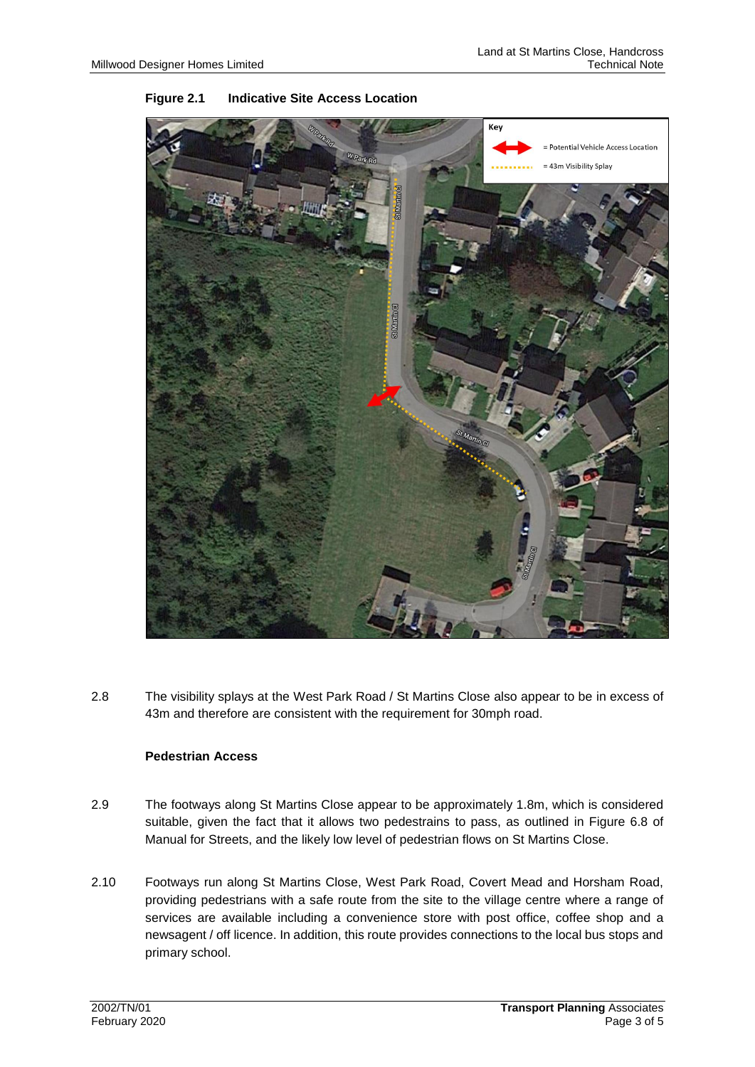

#### **Figure 2.1 Indicative Site Access Location**

2.8 The visibility splays at the West Park Road / St Martins Close also appear to be in excess of 43m and therefore are consistent with the requirement for 30mph road.

#### **Pedestrian Access**

- 2.9 The footways along St Martins Close appear to be approximately 1.8m, which is considered suitable, given the fact that it allows two pedestrains to pass, as outlined in Figure 6.8 of Manual for Streets, and the likely low level of pedestrian flows on St Martins Close.
- 2.10 Footways run along St Martins Close, West Park Road, Covert Mead and Horsham Road, providing pedestrians with a safe route from the site to the village centre where a range of services are available including a convenience store with post office, coffee shop and a newsagent / off licence. In addition, this route provides connections to the local bus stops and primary school.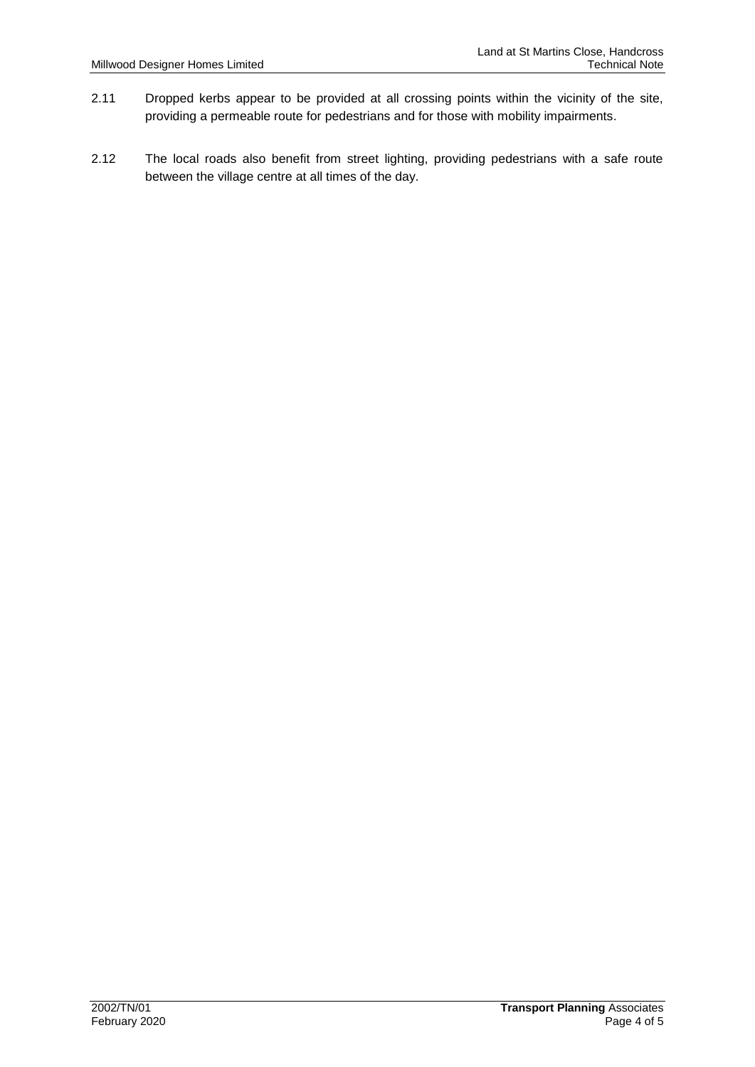- 2.11 Dropped kerbs appear to be provided at all crossing points within the vicinity of the site, providing a permeable route for pedestrians and for those with mobility impairments.
- 2.12 The local roads also benefit from street lighting, providing pedestrians with a safe route between the village centre at all times of the day.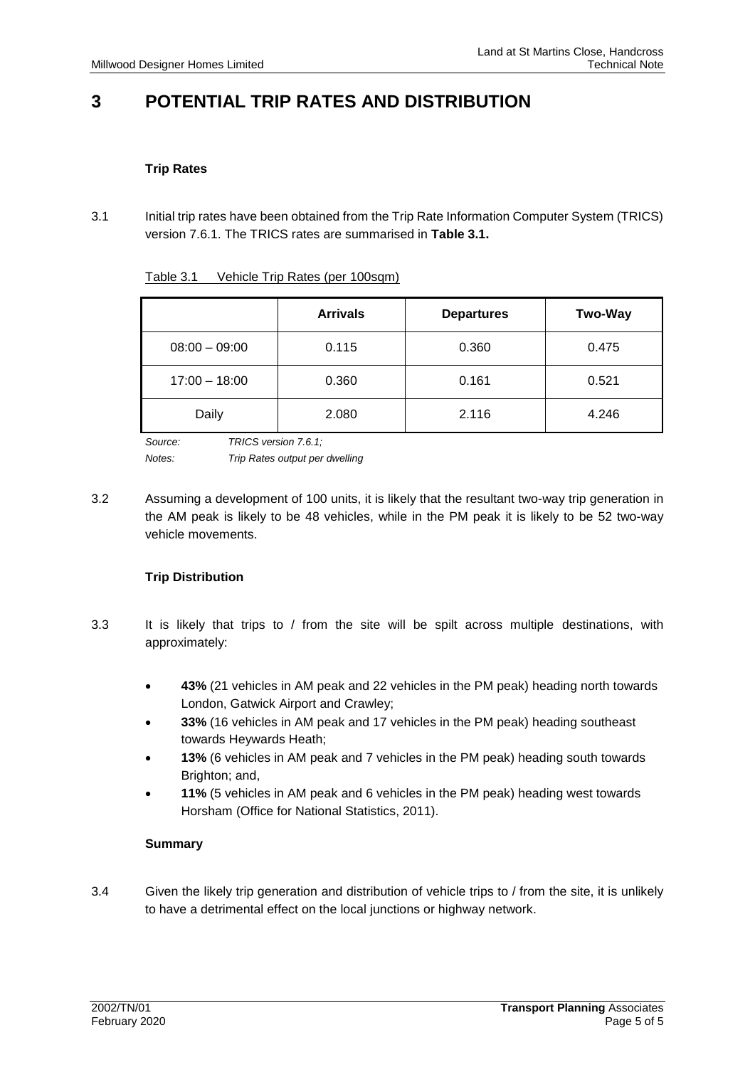# **3 POTENTIAL TRIP RATES AND DISTRIBUTION**

#### **Trip Rates**

3.1 Initial trip rates have been obtained from the Trip Rate Information Computer System (TRICS) version 7.6.1. The TRICS rates are summarised in **Table 3.1.** 

| Table 3.1 | Vehicle Trip Rates (per 100sqm) |  |
|-----------|---------------------------------|--|
|           |                                 |  |

|                 | <b>Arrivals</b> | <b>Departures</b> | <b>Two-Way</b> |
|-----------------|-----------------|-------------------|----------------|
| $08:00 - 09:00$ | 0.115           | 0.360             | 0.475          |
| $17:00 - 18:00$ | 0.360           | 0.161             | 0.521          |
| Daily           | 2.080           | 2.116             | 4.246          |

*Source: TRICS version 7.6.1; Notes: Trip Rates output per dwelling* 

3.2 Assuming a development of 100 units, it is likely that the resultant two-way trip generation in the AM peak is likely to be 48 vehicles, while in the PM peak it is likely to be 52 two-way vehicle movements.

#### **Trip Distribution**

- 3.3 It is likely that trips to / from the site will be spilt across multiple destinations, with approximately:
	- **43%** (21 vehicles in AM peak and 22 vehicles in the PM peak) heading north towards London, Gatwick Airport and Crawley;
	- **33%** (16 vehicles in AM peak and 17 vehicles in the PM peak) heading southeast towards Heywards Heath;
	- **13%** (6 vehicles in AM peak and 7 vehicles in the PM peak) heading south towards Brighton; and,
	- **11%** (5 vehicles in AM peak and 6 vehicles in the PM peak) heading west towards Horsham (Office for National Statistics, 2011).

#### **Summary**

3.4 Given the likely trip generation and distribution of vehicle trips to / from the site, it is unlikely to have a detrimental effect on the local junctions or highway network.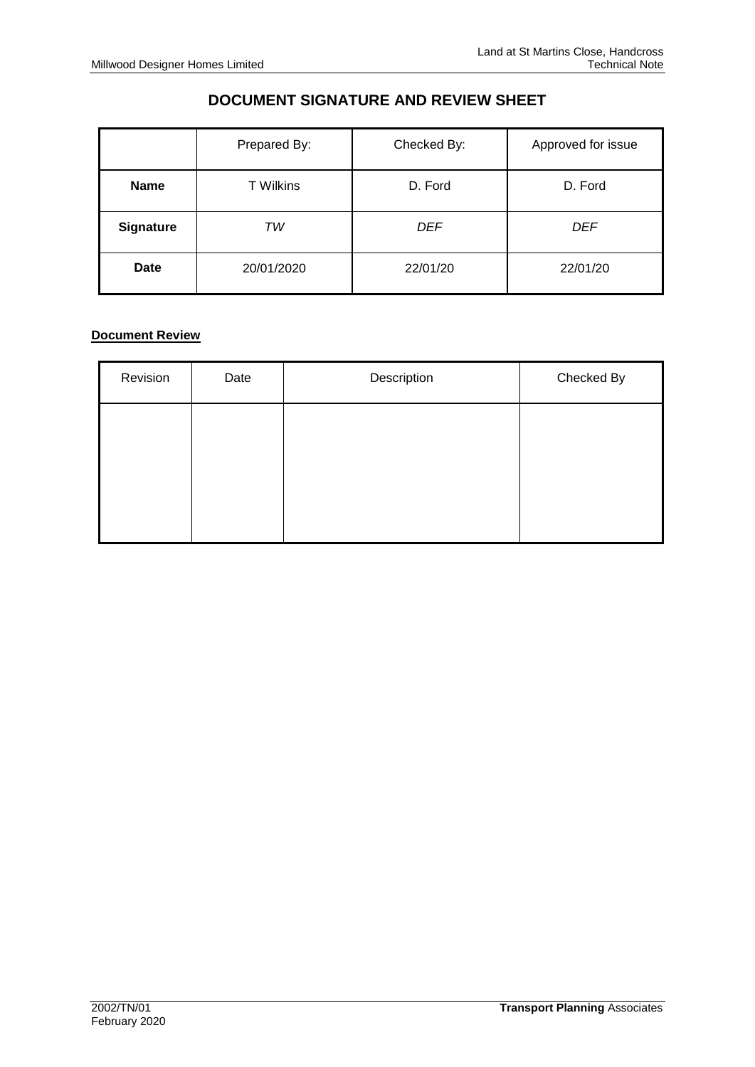## **DOCUMENT SIGNATURE AND REVIEW SHEET**

|                  | Prepared By:     | Checked By: | Approved for issue |
|------------------|------------------|-------------|--------------------|
| <b>Name</b>      | <b>T</b> Wilkins | D. Ford     | D. Ford            |
| <b>Signature</b> | ТW               | <b>DEF</b>  | DEF                |
| <b>Date</b>      | 20/01/2020       | 22/01/20    | 22/01/20           |

#### **Document Review**

| Revision | Date | Description | Checked By |
|----------|------|-------------|------------|
|          |      |             |            |
|          |      |             |            |
|          |      |             |            |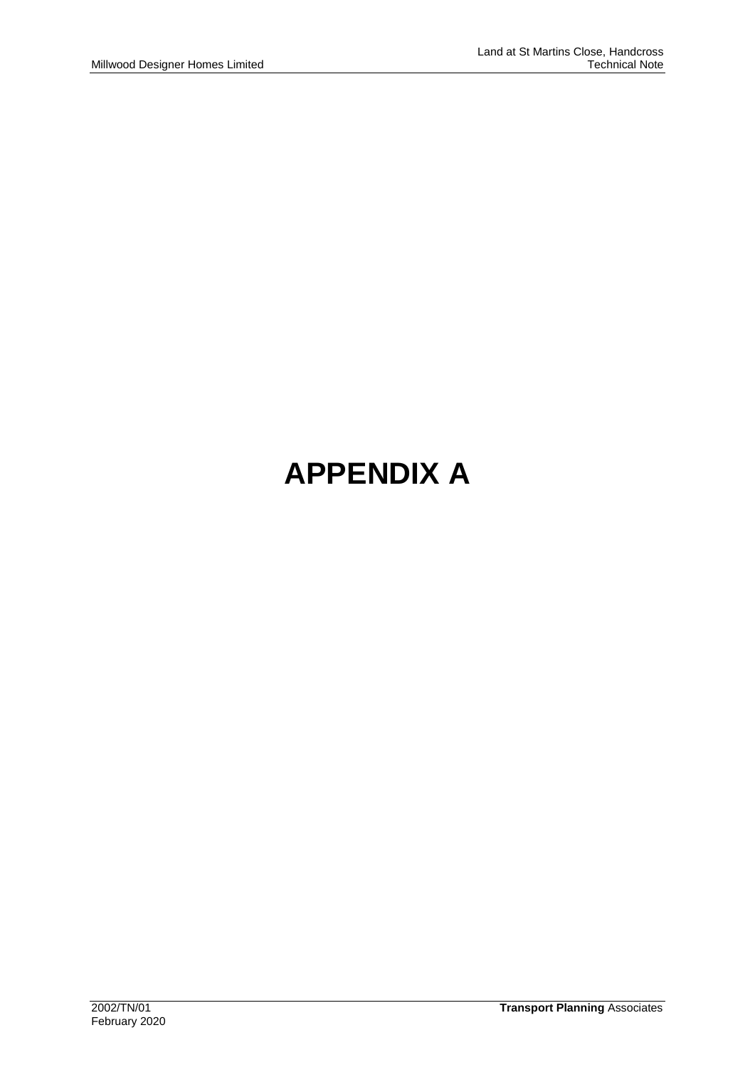# **APPENDIX A**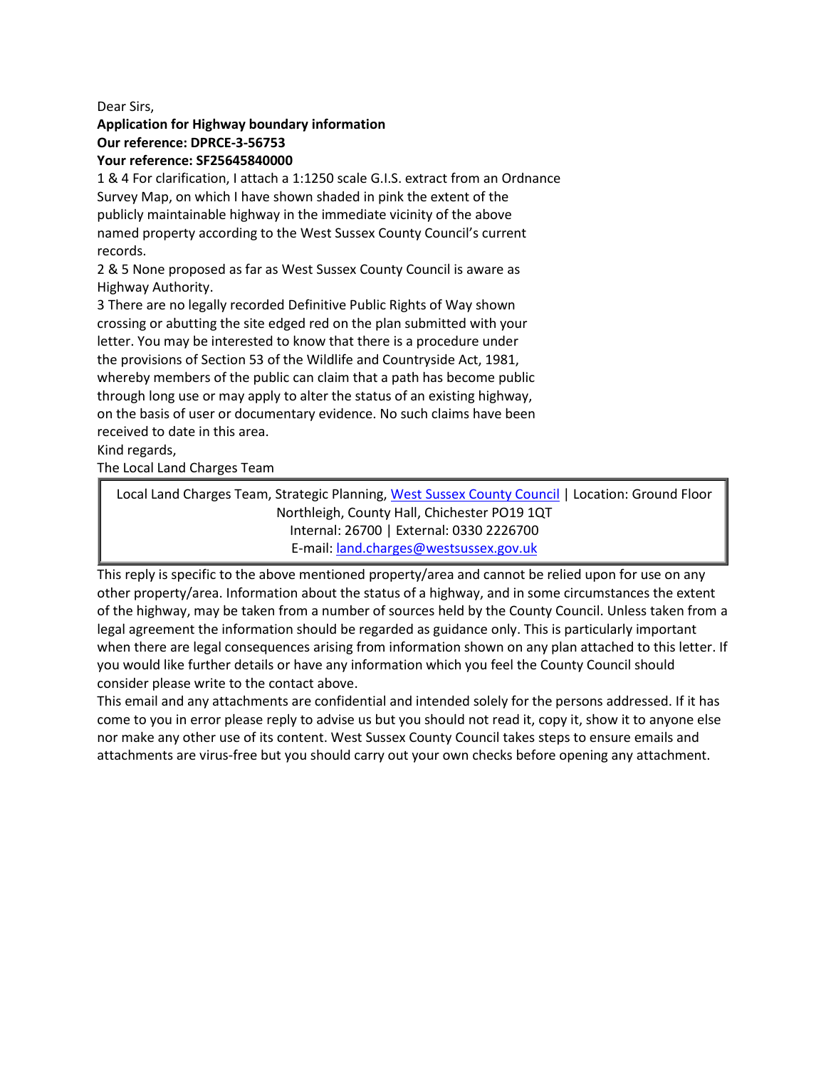Dear Sirs,

## **Application for Highway boundary information Our reference: DPRCE-3-56753**

### **Your reference: SF25645840000**

1 & 4 For clarification, I attach a 1:1250 scale G.I.S. extract from an Ordnance Survey Map, on which I have shown shaded in pink the extent of the publicly maintainable highway in the immediate vicinity of the above named property according to the West Sussex County Council's current records.

2 & 5 None proposed as far as West Sussex County Council is aware as Highway Authority.

3 There are no legally recorded Definitive Public Rights of Way shown crossing or abutting the site edged red on the plan submitted with your letter. You may be interested to know that there is a procedure under the provisions of Section 53 of the Wildlife and Countryside Act, 1981, whereby members of the public can claim that a path has become public through long use or may apply to alter the status of an existing highway, on the basis of user or documentary evidence. No such claims have been received to date in this area.

Kind regards,

The Local Land Charges Team

Local Land Charges Team, Strategic Planning, [West Sussex County Council](http://www.westsussex.gov.uk/) | Location: Ground Floor Northleigh, County Hall, Chichester PO19 1QT Internal: 26700 | External: 0330 2226700 E-mail: [land.charges@westsussex.gov.uk](mailto:land.charges@westsussex.gov.uk)

This reply is specific to the above mentioned property/area and cannot be relied upon for use on any other property/area. Information about the status of a highway, and in some circumstances the extent of the highway, may be taken from a number of sources held by the County Council. Unless taken from a legal agreement the information should be regarded as guidance only. This is particularly important when there are legal consequences arising from information shown on any plan attached to this letter. If you would like further details or have any information which you feel the County Council should consider please write to the contact above.

This email and any attachments are confidential and intended solely for the persons addressed. If it has come to you in error please reply to advise us but you should not read it, copy it, show it to anyone else nor make any other use of its content. West Sussex County Council takes steps to ensure emails and attachments are virus-free but you should carry out your own checks before opening any attachment.